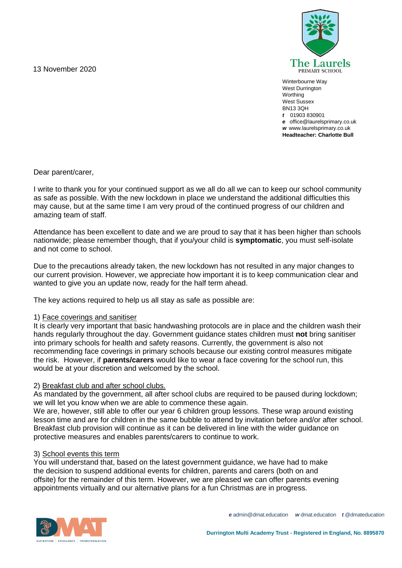13 November 2020



Winterbourne Way West Durrington **Worthing** West Sussex BN13 3QH *t* 01903 830901 *e* office@laurelsprimary.co.uk *w* www.laurelsprimary.co.uk **Headteacher: Charlotte Bull**

Dear parent/carer,

I write to thank you for your continued support as we all do all we can to keep our school community as safe as possible. With the new lockdown in place we understand the additional difficulties this may cause, but at the same time I am very proud of the continued progress of our children and amazing team of staff.

Attendance has been excellent to date and we are proud to say that it has been higher than schools nationwide; please remember though, that if you/your child is **symptomatic**, you must self-isolate and not come to school.

Due to the precautions already taken, the new lockdown has not resulted in any major changes to our current provision. However, we appreciate how important it is to keep communication clear and wanted to give you an update now, ready for the half term ahead.

The key actions required to help us all stay as safe as possible are:

# 1) Face coverings and sanitiser

It is clearly very important that basic handwashing protocols are in place and the children wash their hands regularly throughout the day. Government guidance states children must **not** bring sanitiser into primary schools for health and safety reasons. Currently, the government is also not recommending face coverings in primary schools because our existing control measures mitigate the risk. However, if **parents/carers** would like to wear a face covering for the school run, this would be at your discretion and welcomed by the school.

# 2) Breakfast club and after school clubs.

As mandated by the government, all after school clubs are required to be paused during lockdown; we will let you know when we are able to commence these again.

We are, however, still able to offer our year 6 children group lessons. These wrap around existing lesson time and are for children in the same bubble to attend by invitation before and/or after school. Breakfast club provision will continue as it can be delivered in line with the wider guidance on protective measures and enables parents/carers to continue to work.

### 3) School events this term

You will understand that, based on the latest government guidance, we have had to make the decision to suspend additional events for children, parents and carers (both on and offsite) for the remainder of this term. However, we are pleased we can offer parents evening appointments virtually and our alternative plans for a fun Christmas are in progress.